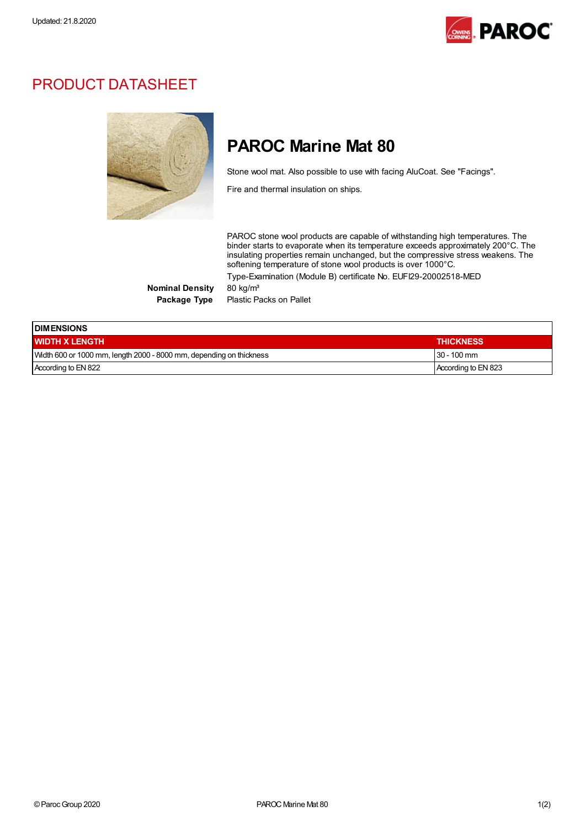

## PRODUCT DATASHEET



## PAROC Marine Mat 80

Stone wool mat. Also possible to use with facing AluCoat. See "Facings".

Fire and thermal insulation on ships.

PAROC stone wool products are capable of withstanding high temperatures. The binder starts to evaporate when its temperature exceeds approximately 200°C. The insulating properties remain unchanged, but the compressive stress weakens. The softening temperature of stone wool products is over 1000°C. Type-Examination (Module B) certificate No. EUFI29-20002518-MED

Nominal Density 80 kg/m<sup>3</sup>

Package Type Plastic Packs on Pallet

| <b>IDIMENSIONS</b>                                                  |                     |  |  |  |
|---------------------------------------------------------------------|---------------------|--|--|--|
| <b>WIDTH X LENGTH</b>                                               | <b>THICKNESS</b>    |  |  |  |
| Width 600 or 1000 mm, length 2000 - 8000 mm, depending on thickness | $30 - 100$ mm       |  |  |  |
| According to EN 822                                                 | According to EN 823 |  |  |  |